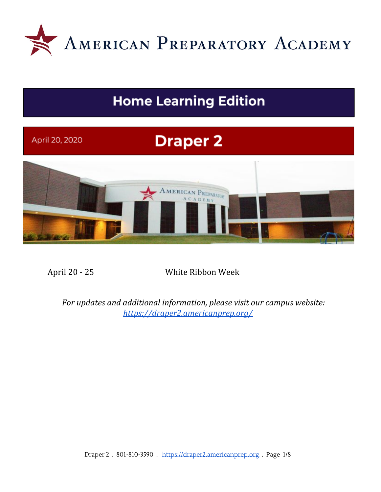

# **Home Learning Edition**

# **Draper 2** April 20, 2020 AMERICAN PREPARATORY CADEMY

April 20 - 25 White Ribbon Week

*For updates and additional information, please visit our campus website: <https://draper2.americanprep.org/>*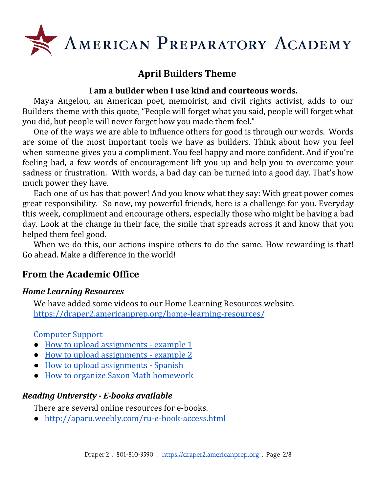

## **April Builders Theme**

#### **I am a builder when I use kind and courteous words.**

Maya Angelou, an American poet, memoirist, and civil rights activist, adds to our Builders theme with this quote, "People will forget what you said, people will forget what you did, but people will never forget how you made them feel."

One of the ways we are able to influence others for good is through our words. Words are some of the most important tools we have as builders. Think about how you feel when someone gives you a compliment. You feel happy and more confident. And if you're feeling bad, a few words of encouragement lift you up and help you to overcome your sadness or frustration. With words, a bad day can be turned into a good day. That's how much power they have.

Each one of us has that power! And you know what they say: With great power comes great responsibility. So now, my powerful friends, here is a challenge for you. Everyday this week, compliment and encourage others, especially those who might be having a bad day. Look at the change in their face, the smile that spreads across it and know that you helped them feel good.

When we do this, our actions inspire others to do the same. How rewarding is that! Go ahead. Make a difference in the world!

### **From the Academic Office**

#### *Home Learning Resources*

We have added some videos to our Home Learning Resources website. <https://draper2.americanprep.org/home-learning-resources/>

#### [Computer](https://docs.google.com/document/d/1km4vRjY5Z0ORJMpqQyDaA2vCIM-PHB6oPRnLH5f87k8/edit) Support

- How to upload [assignments](https://www.youtube.com/watch?v=Ck7HWi5Gfxg&feature=youtu.be) example 1
- How to upload [assignments](https://www.youtube.com/watch?v=0R-tcWxYip8&feature=youtu.be) example 2
- How to upload [assignments](https://www.youtube.com/watch?v=EZwQKEx0Q34&feature=youtu.be) Spanish
- How to organize Saxon Math [homework](https://www.youtube.com/watch?v=_InI5GsdNuk&feature=youtu.be)

#### *Reading University - E-books available*

There are several online resources for e-books.

● <http://aparu.weebly.com/ru-e-book-access.html>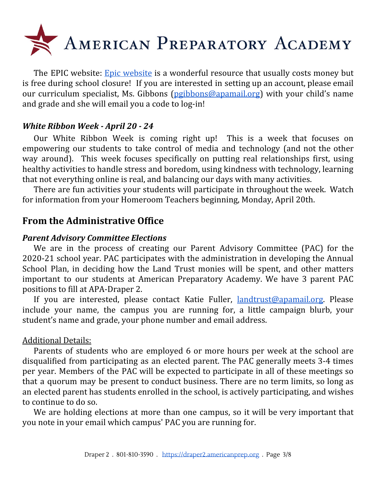

The EPIC [website](https://www.getepic.com/): Epic website is a wonderful resource that usually costs money but is free during school closure! If you are interested in setting up an account, please email our curriculum specialist, Ms. Gibbons ([pgibbons@apamail.org\)](mailto:pgibbons@apamail.org) with your child's name and grade and she will email you a code to log-in!

#### *White Ribbon Week - April 20 - 24*

Our White Ribbon Week is coming right up! This is a week that focuses on empowering our students to take control of media and technology (and not the other way around). This week focuses specifically on putting real relationships first, using healthy activities to handle stress and boredom, using kindness with technology, learning that not everything online is real, and balancing our days with many activities.

There are fun activities your students will participate in throughout the week. Watch for information from your Homeroom Teachers beginning, Monday, April 20th.

#### **From the Administrative Office**

#### *Parent Advisory Committee Elections*

We are in the process of creating our Parent Advisory Committee (PAC) for the 2020-21 school year. PAC participates with the administration in developing the Annual School Plan, in deciding how the Land Trust monies will be spent, and other matters important to our students at American Preparatory Academy. We have 3 parent PAC positions to fill at APA-Draper 2.

If you are interested, please contact Katie Fuller, [landtrust@apamail.org](mailto:landtrust@apamail.org). Please include your name, the campus you are running for, a little campaign blurb, your student's name and grade, your phone number and email address.

#### Additional Details:

Parents of students who are employed 6 or more hours per week at the school are disqualified from participating as an elected parent. The PAC generally meets 3-4 times per year. Members of the PAC will be expected to participate in all of these meetings so that a quorum may be present to conduct business. There are no term limits, so long as an elected parent has students enrolled in the school, is actively participating, and wishes to continue to do so.

We are holding elections at more than one campus, so it will be very important that you note in your email which campus' PAC you are running for.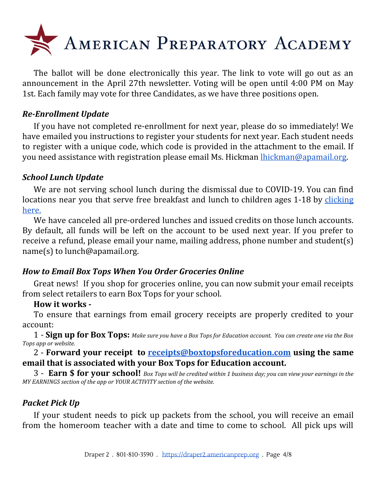

The ballot will be done electronically this year. The link to vote will go out as an announcement in the April 27th newsletter. Voting will be open until 4:00 PM on May 1st. Each family may vote for three Candidates, as we have three positions open.

#### *Re-Enrollment Update*

If you have not completed re-enrollment for next year, please do so immediately! We have emailed you instructions to register your students for next year. Each student needs to register with a unique code, which code is provided in the attachment to the email. If you need assistance with registration please email Ms. Hickman [lhickman@apamail.org.](mailto:lhickman@apamail.org)

#### *School Lunch Update*

We are not serving school lunch during the dismissal due to COVID-19. You can find locations near you that serve free breakfast and lunch to children ages 1-18 by [clicking](https://docs.google.com/document/d/1ipz9D2z5zWqOHSOToIYFT0FH7RpvSteVtLR9neRQq-E/edit?usp=sharing) [here.](https://docs.google.com/document/d/1ipz9D2z5zWqOHSOToIYFT0FH7RpvSteVtLR9neRQq-E/edit?usp=sharing)

We have canceled all pre-ordered lunches and issued credits on those lunch accounts. By default, all funds will be left on the account to be used next year. If you prefer to receive a refund, please email your name, mailing address, phone number and student(s) name(s) to lunch@apamail.org.

#### *How to Email Box Tops When You Order Groceries Online*

Great news! If you shop for groceries online, you can now submit your email receipts from select retailers to earn Box Tops for your school.

#### **How it works -**

To ensure that earnings from email grocery receipts are properly credited to your account:

 $1$  - Sign up for Box Tops: Make sure you have a Box Tops for Education account. You can create one via the Box *Tops app or website.*

#### 2 - **Forward your receipt to [receipts@boxtopsforeducation.com](mailto:receipts@boxtopsforeducation.com) using the same email that is associated with your Box Tops for Education account.**

 $3$  - **Earn \$ for your school!** Box Tops will be credited within 1 business day; you can view your earnings in the *MY EARNINGS section of the app or YOUR ACTIVITY section of the website.*

#### *Packet Pick Up*

If your student needs to pick up packets from the school, you will receive an email from the homeroom teacher with a date and time to come to school. All pick ups will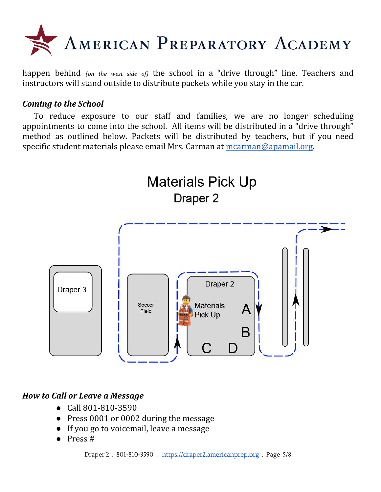

happen behind *(on the west side of)* the school in a "drive through" line. Teachers and instructors will stand outside to distribute packets while you stay in the car.

#### *Coming to the School*

To reduce exposure to our staff and families, we are no longer scheduling appointments to come into the school. All items will be distributed in a "drive through" method as outlined below. Packets will be distributed by teachers, but if you need specific student materials please email Mrs. Carman at [mcarman@apamail.org](mailto:mcarman@apamail.org).



#### *How to Call or Leave a Message*

- Call 801-810-3590
- Press 0001 or 0002 during the message
- If you go to voicemail, leave a message
- Press #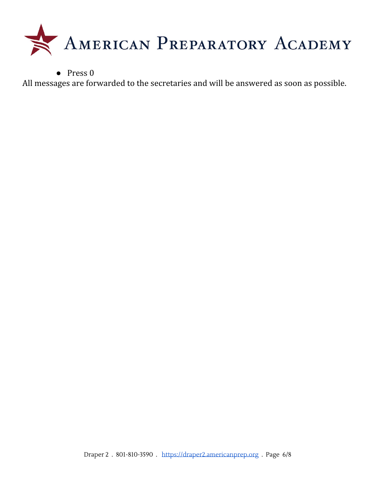

● Press 0

All messages are forwarded to the secretaries and will be answered as soon as possible.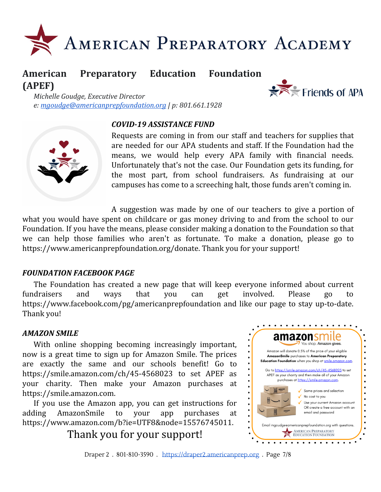

# **American Preparatory Education Foundation (APEF)**



*Michelle Goudge, Executive Director e: [mgoudge@americanprepfoundation.org](mailto:mgoudge@americanprepfoundation.org) | p: 801.661.1928*

#### *COVID-19 ASSISTANCE FUND*



Requests are coming in from our staff and teachers for supplies that are needed for our APA students and staff. If the Foundation had the means, we would help every APA family with financial needs. Unfortunately that's not the case. Our Foundation gets its funding, for the most part, from school fundraisers. As fundraising at our campuses has come to a screeching halt, those funds aren't coming in.

A suggestion was made by one of our teachers to give a portion of what you would have spent on childcare or gas money driving to and from the school to our Foundation. If you have the means, please consider making a donation to the Foundation so that we can help those families who aren't as fortunate. To make a donation, please go to [https://www.americanprepfoundation.org/donate.](https://www.americanprepfoundation.org/donate?fbclid=IwAR3awP5rC167inDS2KhPUcAOit8OO6n2TWT09PVJLsLeZyEVc2ccW03AL6o) Thank you for your support!

#### *FOUNDATION FACEBOOK PAGE*

The Foundation has created a new page that will keep everyone informed about current fundraisers and ways that you can get involved. Please go to [https://www.facebook.com/pg/americanprepfoundation](https://www.facebook.com/americanprepfoundation/?__tn__=K-R&eid=ARDnrpXuF4Yqx4XVKLjWPInG4juX7qlt8U6cTWWFc0_6nnX1hjiCzJ43pCAVmEgnUPNck3GQE8sv6tw1&fref=mentions&__xts__%5B0%5D=68.ARB6iI390cmLJhuUQrC93RyF74iu17mUxOJqB6n8cl9oOHWN4rHC57De8ZnG8yEA_FBK5AemlSC8_4DFD9_SNev7ZDWgRXtZsoY8CGsXtD46FH2Xjrw0ohMvufjizv_qLX7EBAUEZpK8SFkg01YTuQYEJNh2Gd13J85Fpk9S-Dze7TvA4xYgOUW9wpLYr2pHYd2qP7vkLx9c0jbG1X5bl5XfpgBfOZJEGcStHGWE57ngBXpZpv-vH02cB9A-mvy9a27YxYcfoB0kKTVPK6HUUqLC3QMBHs-1LYG6EFbFaTYvuDesiSKodAcN-z6w6AKUpO_6CwVm_5l00AeJgUs3u1XfAvI) and like our page to stay up-to-date. Thank you!

#### *AMAZON SMILE*

With online shopping becoming increasingly important, now is a great time to sign up for Amazon Smile. The prices are exactly the same and our schools benefit! Go to [https://smile.amazon.com/ch/45-4568023](https://l.facebook.com/l.php?u=https%3A%2F%2Fsmile.amazon.com%2Fch%2F45-4568023%3Ffbclid%3DIwAR3BpqSeogz3ti2ZunUYwx-fDCplKJa7MN0LCLgVT0WRJigkOUIl3cvM1wM&h=AT1IMz86iBjVYQN1I8fd6A6GhFiX7Kn_iMXQoVc-x-zUkn2k0lrndoecsA3bOpUI1rPfiJ5k-aZ962i54WKC68atWdsC5wkW4mlWQFHu4tWZUGQiGXypHjfVPWZwukjngZLhuA9ekbvuOhNwQ7gSKRm1w7Ocl4taqkWWOykQLPG09hKVl1a-NtZTrb8syGFLEZ09tOzB_BAIxeqRGW2ipTolGajBgMvrMuOyohdDRN6ouVYAhlfMx6YdySbF13HqAed_tBpAFMBy0QoN58Wqg1iyIOnCCBdh9HbDCvbdcmu8FXG3EeIKQXJ8-YUzwbknAVin8-XZgA7hL6DlUQSyH1AOW_aOR1-o4u41aI-VimXKy7qZ2ct6i7ma6nAUUxDgZ_DeJOYeolw5neElKc-oHy_7NyJinnI0QIzb-vd-jbWKEOrb0TD3kDW7bPg59gTtEzbOEfTFNDPhXeQFXIgEJKgxtH37D2dWxvlKVnk5PRGrO0bt-AUrpezNYpP8tzrU7waNkRVK11vYH-aiAximLZ5nCz4nnW476NYnxFQImkmqADveUDWQU_Akp-wTDH5kIOyEfKqwVX4nh9sDsn5hZkDme9Pgm_cVAbc7gb5e_0QA1fGuuYaha3mb7hCTspUryXF1HeWUFj6DAM8) to set APEF as your charity. Then make your Amazon purchases at [https://smile.amazon.com.](https://l.facebook.com/l.php?u=https%3A%2F%2Fsmile.amazon.com%2F%3Ffbclid%3DIwAR3jiFlSgLpJLNrG5Orhu8AzrrFxuTRY4TK543xJLchuz8aHfhQmhuEgKSM&h=AT3z_j9cTjJUaxWp8d_agfvrygJ5DApjsuNKCfLT_iOXl8ZfmsMbkhYfiJphhbNPcqMueiv9fhnbwo0dC_VdzgC0vhPgpew99vdLSxEPXbk30h2eJZ-GIiUbug7d42wWsqbZMC9ZDdD3ZTJ-fNG7n5kqS2ChuC_49rIwBKj5goPhpEXC3389L6XaHMXZHNP6mpFzyHWOW1TOXPf7OifUzXZzrAj7o2Lt4v_aYl194SVLofFK90iSQryFq6rHHkCmC4rsHrH-PrVzayMFOMfJ5RdDz_Qkph-PEubbeo2AXmdEbPD-cBovbWJTuuZdWTB6g9_mTBsvaxX8K1ZEIo5CVYaWspeHYDMqWGOX9G8J2ymvBIz-ijnGeeKo_ezZL5BXrHBwu5lZy586K9vk525qCohDrtfnfFKXHVxFu1LDeGPubE-OztaQczyXyuxyEJzC7tKmS3qwBVmAEkCoJidJQFLIYvmsbehJ0mKIIb1gPAbp43wn2je70Z5Cx8E_rwi-PSBKWbFu4FUFcaRqtCkffdrJjXXqW9M93Dg0VYmuR-9Mxh05ZXxBAVbgEy6wBJPCYYpQYIFDF2pzyUCXjEH9py0hxKQt1icrKTQXUs6PXLsaUDRTCI7TcIBwMDTxLScjis78QKIT)

If you use the Amazon app, you can get instructions for adding AmazonSmile to your app purchases at [https://www.amazon.com/b?ie=UTF8&node=15576745011.](https://www.amazon.com/b?ie=UTF8&node=15576745011&fbclid=IwAR1YjYXbvpnfd0xcNudjSt0y0zVw76Xdhq0Sn-wg9TmpVyWX7qdMWNg9Nh4)

Thank you for your support!



Draper 2 . 801-810-3590 . [https://draper2.americanprep.org](https://draper2.americanprep.org/) . Page 7/8